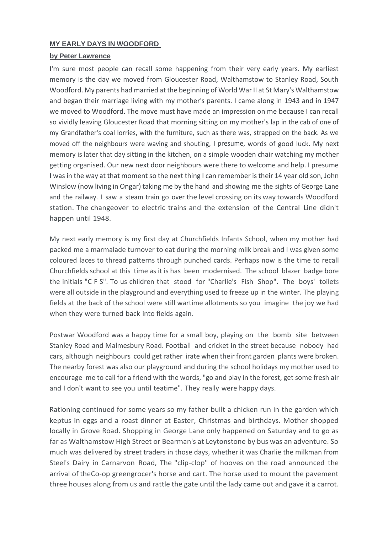## **MY EARLY DAYS IN WOODFORD**

## **by Peter Lawrence**

I'm sure most people can recall some happening from their very early years. My earliest memory is the day we moved from Gloucester Road, Walthamstow to Stanley Road, South Woodford. My parents had married at the beginning of World War II at St Mary's Walthamstow and began their marriage living with my mother's parents. I came along in 1943 and in 1947 we moved to Woodford. The move must have made an impression on me because I can recall so vividly leaving Gloucester Road that morning sitting on my mother's lap in the cab of one of my Grandfather's coal lorries, with the furniture, such as there was, strapped on the back. As we moved off the neighbours were waving and shouting, I presume, words of good luck. My next memory is later that day sitting in the kitchen, on a simple wooden chair watching my mother getting organised. Our new next door neighbours were there to welcome and help. I presume I was in the way at that moment so the next thing I can remember is their 14 year old son, John Winslow (now living in Ongar) taking me by the hand and showing me the sights of George Lane and the railway. I saw a steam train go over the level crossing on its way towards Woodford station. The changeover to electric trains and the extension of the Central Line didn't happen until 1948.

My next early memory is my first day at Churchfields Infants School, when my mother had packed me a marmalade turnover to eat during the morning milk break and I was given some coloured laces to thread patterns through punched cards. Perhaps now is the time to recall Churchfields school at this time as it is has been modernised. The school blazer badge bore the initials "C F S". To us children that stood for "Charlie's Fish Shop". The boys' toilets were all outside in the playground and everything used to freeze up in the winter. The playing fields at the back of the school were still wartime allotments so you imagine the joy we had when they were turned back into fields again.

Postwar Woodford was a happy time for a small boy, playing on the bomb site between Stanley Road and Malmesbury Road. Football and cricket in the street because nobody had cars, although neighbours could get rather irate when their front garden plants were broken. The nearby forest was also our playground and during the school holidays my mother used to encourage me to call for a friend with the words, "go and play in the forest, get some fresh air and I don't want to see you until teatime". They really were happy days.

Rationing continued for some years so my father built a chicken run in the garden which keptus in eggs and a roast dinner at Easter, Christmas and birthdays. Mother shopped locally in Grove Road. Shopping in George Lane only happened on Saturday and to go as far as Walthamstow High Street or Bearman's at Leytonstone by bus was an adventure. So much was delivered by street traders in those days, whether it was Charlie the milkman from Steel's Dairy in Carnarvon Road, The "clip-clop" of hooves on the road announced the arrival of theCo-op greengrocer's horse and cart. The horse used to mount the pavement three houses along from us and rattle the gate until the lady came out and gave it a carrot.